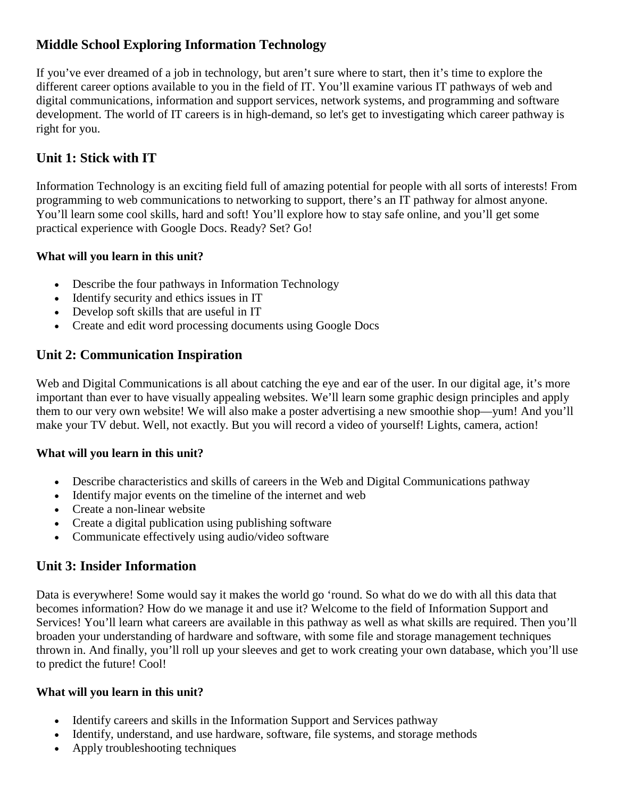# **Middle School Exploring Information Technology**

If you've ever dreamed of a job in technology, but aren't sure where to start, then it's time to explore the different career options available to you in the field of IT. You'll examine various IT pathways of web and digital communications, information and support services, network systems, and programming and software development. The world of IT careers is in high-demand, so let's get to investigating which career pathway is right for you.

# **Unit 1: Stick with IT**

Information Technology is an exciting field full of amazing potential for people with all sorts of interests! From programming to web communications to networking to support, there's an IT pathway for almost anyone. You'll learn some cool skills, hard and soft! You'll explore how to stay safe online, and you'll get some practical experience with Google Docs. Ready? Set? Go!

### **What will you learn in this unit?**

- Describe the four pathways in Information Technology
- Identify security and ethics issues in IT
- Develop soft skills that are useful in IT
- Create and edit word processing documents using Google Docs

## **Unit 2: Communication Inspiration**

Web and Digital Communications is all about catching the eye and ear of the user. In our digital age, it's more important than ever to have visually appealing websites. We'll learn some graphic design principles and apply them to our very own website! We will also make a poster advertising a new smoothie shop—yum! And you'll make your TV debut. Well, not exactly. But you will record a video of yourself! Lights, camera, action!

### **What will you learn in this unit?**

- Describe characteristics and skills of careers in the Web and Digital Communications pathway
- Identify major events on the timeline of the internet and web
- Create a non-linear website
- Create a digital publication using publishing software
- Communicate effectively using audio/video software

## **Unit 3: Insider Information**

Data is everywhere! Some would say it makes the world go 'round. So what do we do with all this data that becomes information? How do we manage it and use it? Welcome to the field of Information Support and Services! You'll learn what careers are available in this pathway as well as what skills are required. Then you'll broaden your understanding of hardware and software, with some file and storage management techniques thrown in. And finally, you'll roll up your sleeves and get to work creating your own database, which you'll use to predict the future! Cool!

### **What will you learn in this unit?**

- Identify careers and skills in the Information Support and Services pathway
- Identify, understand, and use hardware, software, file systems, and storage methods
- Apply troubleshooting techniques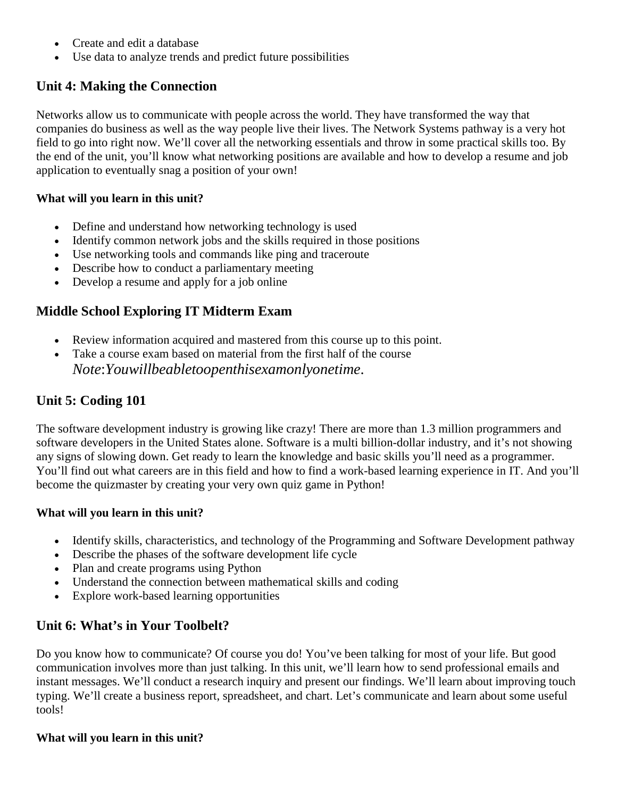- Create and edit a database
- Use data to analyze trends and predict future possibilities

# **Unit 4: Making the Connection**

Networks allow us to communicate with people across the world. They have transformed the way that companies do business as well as the way people live their lives. The Network Systems pathway is a very hot field to go into right now. We'll cover all the networking essentials and throw in some practical skills too. By the end of the unit, you'll know what networking positions are available and how to develop a resume and job application to eventually snag a position of your own!

#### **What will you learn in this unit?**

- Define and understand how networking technology is used
- Identify common network jobs and the skills required in those positions
- Use networking tools and commands like ping and traceroute
- Describe how to conduct a parliamentary meeting
- Develop a resume and apply for a job online

## **Middle School Exploring IT Midterm Exam**

- Review information acquired and mastered from this course up to this point.
- Take a course exam based on material from the first half of the course *Note*:*Youwillbeabletoopenthisexamonlyonetime*.

# **Unit 5: Coding 101**

The software development industry is growing like crazy! There are more than 1.3 million programmers and software developers in the United States alone. Software is a multi billion-dollar industry, and it's not showing any signs of slowing down. Get ready to learn the knowledge and basic skills you'll need as a programmer. You'll find out what careers are in this field and how to find a work-based learning experience in IT. And you'll become the quizmaster by creating your very own quiz game in Python!

### **What will you learn in this unit?**

- Identify skills, characteristics, and technology of the Programming and Software Development pathway
- Describe the phases of the software development life cycle
- Plan and create programs using Python
- Understand the connection between mathematical skills and coding
- Explore work-based learning opportunities

## **Unit 6: What's in Your Toolbelt?**

Do you know how to communicate? Of course you do! You've been talking for most of your life. But good communication involves more than just talking. In this unit, we'll learn how to send professional emails and instant messages. We'll conduct a research inquiry and present our findings. We'll learn about improving touch typing. We'll create a business report, spreadsheet, and chart. Let's communicate and learn about some useful tools!

#### **What will you learn in this unit?**